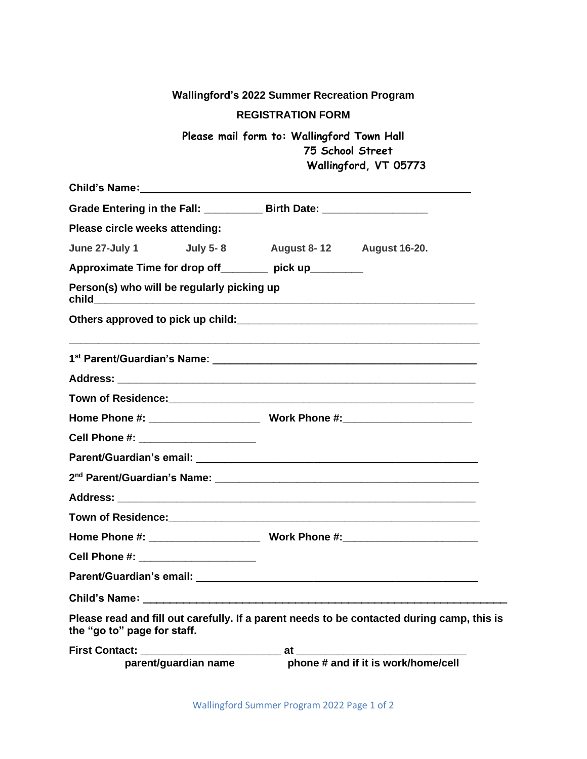|                                                                                                                           | <b>Wallingford's 2022 Summer Recreation Program</b>            |                                     |
|---------------------------------------------------------------------------------------------------------------------------|----------------------------------------------------------------|-------------------------------------|
|                                                                                                                           | <b>REGISTRATION FORM</b>                                       |                                     |
|                                                                                                                           | Please mail form to: Wallingford Town Hall<br>75 School Street | Wallingford, VT 05773               |
|                                                                                                                           |                                                                |                                     |
| Grade Entering in the Fall: _____________ Birth Date: __________________________                                          |                                                                |                                     |
| Please circle weeks attending:                                                                                            |                                                                |                                     |
| June 27-July 1 July 5-8 August 8-12 August 16-20.                                                                         |                                                                |                                     |
| Approximate Time for drop off ________ pick up________                                                                    |                                                                |                                     |
| Person(s) who will be regularly picking up                                                                                |                                                                |                                     |
|                                                                                                                           |                                                                |                                     |
|                                                                                                                           |                                                                |                                     |
|                                                                                                                           |                                                                |                                     |
|                                                                                                                           |                                                                |                                     |
|                                                                                                                           |                                                                |                                     |
| Cell Phone #: ______________________                                                                                      |                                                                |                                     |
|                                                                                                                           |                                                                |                                     |
|                                                                                                                           |                                                                |                                     |
|                                                                                                                           |                                                                |                                     |
| <b>Town of Residence:</b>                                                                                                 |                                                                |                                     |
|                                                                                                                           |                                                                |                                     |
| Cell Phone #: ______________________                                                                                      |                                                                |                                     |
|                                                                                                                           |                                                                |                                     |
| Child's Name: 2008. [2010] [2010] [2010] [2010] [2010] [2010] [2010] [2010] [2010] [2010] [2010] [2010] [2010] [          |                                                                |                                     |
| Please read and fill out carefully. If a parent needs to be contacted during camp, this is<br>the "go to" page for staff. |                                                                |                                     |
| parent/guardian name                                                                                                      |                                                                | phone # and if it is work/home/cell |

Wallingford Summer Program 2022 Page 1 of 2